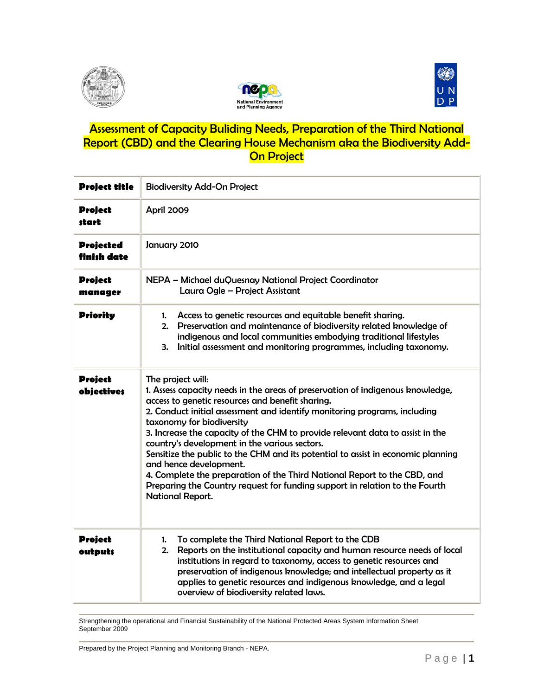





## Assessment of Capacity Buliding Needs, Preparation of the Third National Report (CBD) and the Clearing House Mechanism aka the Biodiversity Add-**On Project**

| <b>Project title</b>                | <b>Biodiversity Add-On Project</b>                                                                                                                                                                                                                                                                                                                                                                                                                                                                                                                                                                                                                                                               |  |
|-------------------------------------|--------------------------------------------------------------------------------------------------------------------------------------------------------------------------------------------------------------------------------------------------------------------------------------------------------------------------------------------------------------------------------------------------------------------------------------------------------------------------------------------------------------------------------------------------------------------------------------------------------------------------------------------------------------------------------------------------|--|
| <b>Project</b><br>start             | April 2009                                                                                                                                                                                                                                                                                                                                                                                                                                                                                                                                                                                                                                                                                       |  |
| <b>Projected</b><br>finish date     | January 2010                                                                                                                                                                                                                                                                                                                                                                                                                                                                                                                                                                                                                                                                                     |  |
| <b>Project</b><br>manager           | NEPA - Michael duQuesnay National Project Coordinator<br>Laura Ogle - Project Assistant                                                                                                                                                                                                                                                                                                                                                                                                                                                                                                                                                                                                          |  |
| <b>Priority</b>                     | 1. Access to genetic resources and equitable benefit sharing.<br>2. Preservation and maintenance of biodiversity related knowledge of<br>indigenous and local communities embodying traditional lifestyles<br>Initial assessment and monitoring programmes, including taxonomy.<br>З.                                                                                                                                                                                                                                                                                                                                                                                                            |  |
| <b>Project</b><br><b>objectives</b> | The project will:<br>1. Assess capacity needs in the areas of preservation of indigenous knowledge,<br>access to genetic resources and benefit sharing.<br>2. Conduct initial assessment and identify monitoring programs, including<br>taxonomy for biodiversity<br>3. Increase the capacity of the CHM to provide relevant data to assist in the<br>country's development in the various sectors.<br>Sensitize the public to the CHM and its potential to assist in economic planning<br>and hence development.<br>4. Complete the preparation of the Third National Report to the CBD, and<br>Preparing the Country request for funding support in relation to the Fourth<br>National Report. |  |
| <b>Project</b><br>outputs           | To complete the Third National Report to the CDB<br>1.<br>Reports on the institutional capacity and human resource needs of local<br>2.<br>institutions in regard to taxonomy, access to genetic resources and<br>preservation of indigenous knowledge; and intellectual property as it<br>applies to genetic resources and indigenous knowledge, and a legal<br>overview of biodiversity related laws.                                                                                                                                                                                                                                                                                          |  |

Strengthening the operational and Financial Sustainability of the National Protected Areas System Information Sheet September 2009